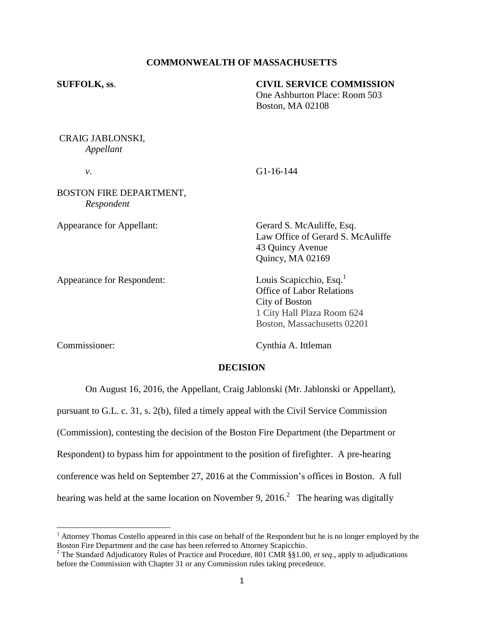## **COMMONWEALTH OF MASSACHUSETTS**

### **SUFFOLK, ss**. **CIVIL SERVICE COMMISSION**

One Ashburton Place: Room 503 Boston, MA 02108

# CRAIG JABLONSKI, *Appellant*

*v*. G1-16-144

BOSTON FIRE DEPARTMENT, *Respondent*

Appearance for Appellant: Gerard S. McAuliffe, Esq.

Appearance for Respondent: Louis Scapicchio, Esq.<sup>1</sup>

Law Office of Gerard S. McAuliffe 43 Quincy Avenue Quincy, MA 02169

Office of Labor Relations City of Boston 1 City Hall Plaza Room 624 Boston, Massachusetts 02201

 $\overline{\phantom{a}}$ 

Commissioner: Cynthia A. Ittleman

## **DECISION**

On August 16, 2016, the Appellant, Craig Jablonski (Mr. Jablonski or Appellant),

pursuant to G.L. c. 31, s. 2(b), filed a timely appeal with the Civil Service Commission

(Commission), contesting the decision of the Boston Fire Department (the Department or

Respondent) to bypass him for appointment to the position of firefighter. A pre-hearing

conference was held on September 27, 2016 at the Commission's offices in Boston. A full

hearing was held at the same location on November 9, 2016.<sup>2</sup> The hearing was digitally

<sup>&</sup>lt;sup>1</sup> Attorney Thomas Costello appeared in this case on behalf of the Respondent but he is no longer employed by the Boston Fire Department and the case has been referred to Attorney Scapicchio.

<sup>2</sup> The Standard Adjudicatory Rules of Practice and Procedure, 801 CMR §§1.00, *et seq*., apply to adjudications before the Commission with Chapter 31 or any Commission rules taking precedence.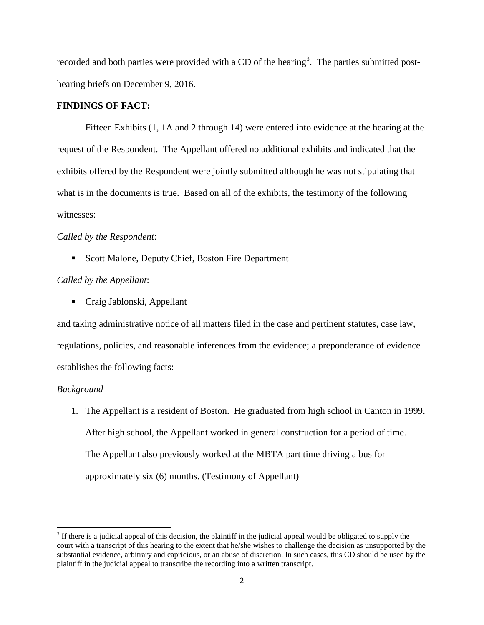recorded and both parties were provided with a CD of the hearing<sup>3</sup>. The parties submitted posthearing briefs on December 9, 2016.

# **FINDINGS OF FACT:**

Fifteen Exhibits (1, 1A and 2 through 14) were entered into evidence at the hearing at the request of the Respondent. The Appellant offered no additional exhibits and indicated that the exhibits offered by the Respondent were jointly submitted although he was not stipulating that what is in the documents is true. Based on all of the exhibits, the testimony of the following witnesses:

## *Called by the Respondent*:

■ Scott Malone, Deputy Chief, Boston Fire Department

## *Called by the Appellant*:

■ Craig Jablonski, Appellant

and taking administrative notice of all matters filed in the case and pertinent statutes, case law, regulations, policies, and reasonable inferences from the evidence; a preponderance of evidence establishes the following facts:

#### *Background*

 $\overline{\phantom{a}}$ 

1. The Appellant is a resident of Boston. He graduated from high school in Canton in 1999. After high school, the Appellant worked in general construction for a period of time. The Appellant also previously worked at the MBTA part time driving a bus for approximately six (6) months. (Testimony of Appellant)

 $3$  If there is a judicial appeal of this decision, the plaintiff in the judicial appeal would be obligated to supply the court with a transcript of this hearing to the extent that he/she wishes to challenge the decision as unsupported by the substantial evidence, arbitrary and capricious, or an abuse of discretion. In such cases, this CD should be used by the plaintiff in the judicial appeal to transcribe the recording into a written transcript.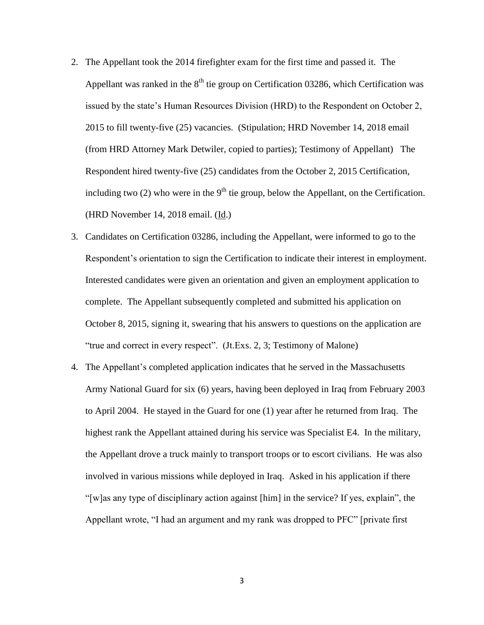- 2. The Appellant took the 2014 firefighter exam for the first time and passed it. The Appellant was ranked in the  $8<sup>th</sup>$  tie group on Certification 03286, which Certification was issued by the state's Human Resources Division (HRD) to the Respondent on October 2, 2015 to fill twenty-five (25) vacancies. (Stipulation; HRD November 14, 2018 email (from HRD Attorney Mark Detwiler, copied to parties); Testimony of Appellant) The Respondent hired twenty-five (25) candidates from the October 2, 2015 Certification, including two (2) who were in the  $9<sup>th</sup>$  tie group, below the Appellant, on the Certification. (HRD November 14, 2018 email. (Id.)
- 3. Candidates on Certification 03286, including the Appellant, were informed to go to the Respondent's orientation to sign the Certification to indicate their interest in employment. Interested candidates were given an orientation and given an employment application to complete. The Appellant subsequently completed and submitted his application on October 8, 2015, signing it, swearing that his answers to questions on the application are "true and correct in every respect". (Jt.Exs. 2, 3; Testimony of Malone)
- 4. The Appellant's completed application indicates that he served in the Massachusetts Army National Guard for six (6) years, having been deployed in Iraq from February 2003 to April 2004. He stayed in the Guard for one (1) year after he returned from Iraq. The highest rank the Appellant attained during his service was Specialist E4. In the military, the Appellant drove a truck mainly to transport troops or to escort civilians. He was also involved in various missions while deployed in Iraq. Asked in his application if there "[w]as any type of disciplinary action against [him] in the service? If yes, explain", the Appellant wrote, "I had an argument and my rank was dropped to PFC" [private first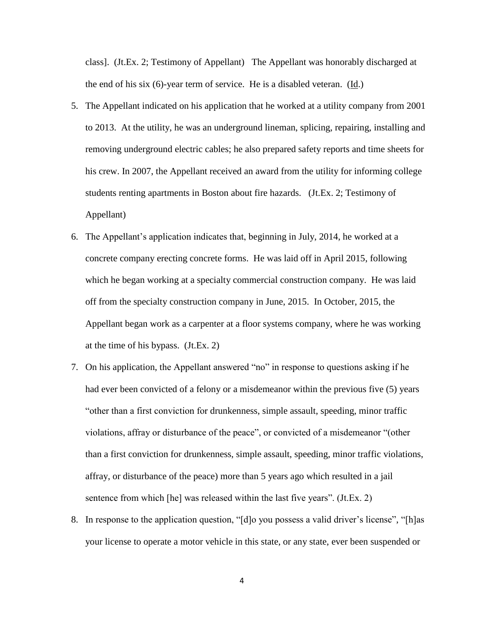class]. (Jt.Ex. 2; Testimony of Appellant) The Appellant was honorably discharged at the end of his six (6)-year term of service. He is a disabled veteran. (Id.)

- 5. The Appellant indicated on his application that he worked at a utility company from 2001 to 2013. At the utility, he was an underground lineman, splicing, repairing, installing and removing underground electric cables; he also prepared safety reports and time sheets for his crew. In 2007, the Appellant received an award from the utility for informing college students renting apartments in Boston about fire hazards. (Jt.Ex. 2; Testimony of Appellant)
- 6. The Appellant's application indicates that, beginning in July, 2014, he worked at a concrete company erecting concrete forms. He was laid off in April 2015, following which he began working at a specialty commercial construction company. He was laid off from the specialty construction company in June, 2015. In October, 2015, the Appellant began work as a carpenter at a floor systems company, where he was working at the time of his bypass. (Jt.Ex. 2)
- 7. On his application, the Appellant answered "no" in response to questions asking if he had ever been convicted of a felony or a misdemeanor within the previous five (5) years "other than a first conviction for drunkenness, simple assault, speeding, minor traffic violations, affray or disturbance of the peace", or convicted of a misdemeanor "(other than a first conviction for drunkenness, simple assault, speeding, minor traffic violations, affray, or disturbance of the peace) more than 5 years ago which resulted in a jail sentence from which [he] was released within the last five years". (Jt.Ex. 2)
- 8. In response to the application question, "[d]o you possess a valid driver's license", "[h]as your license to operate a motor vehicle in this state, or any state, ever been suspended or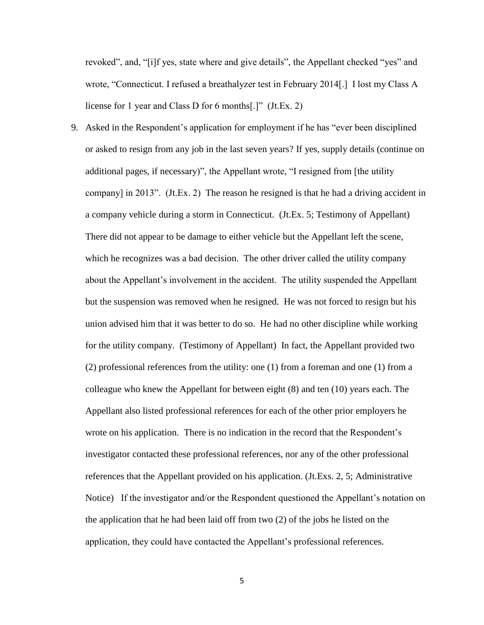revoked", and, "[i]f yes, state where and give details", the Appellant checked "yes" and wrote, "Connecticut. I refused a breathalyzer test in February 2014[.] I lost my Class A license for 1 year and Class D for 6 months[.]" (Jt.Ex. 2)

9. Asked in the Respondent's application for employment if he has "ever been disciplined or asked to resign from any job in the last seven years? If yes, supply details (continue on additional pages, if necessary)", the Appellant wrote, "I resigned from [the utility company] in 2013". (Jt.Ex. 2) The reason he resigned is that he had a driving accident in a company vehicle during a storm in Connecticut. (Jt.Ex. 5; Testimony of Appellant) There did not appear to be damage to either vehicle but the Appellant left the scene, which he recognizes was a bad decision. The other driver called the utility company about the Appellant's involvement in the accident. The utility suspended the Appellant but the suspension was removed when he resigned. He was not forced to resign but his union advised him that it was better to do so. He had no other discipline while working for the utility company. (Testimony of Appellant) In fact, the Appellant provided two (2) professional references from the utility: one (1) from a foreman and one (1) from a colleague who knew the Appellant for between eight (8) and ten (10) years each. The Appellant also listed professional references for each of the other prior employers he wrote on his application. There is no indication in the record that the Respondent's investigator contacted these professional references, nor any of the other professional references that the Appellant provided on his application. (Jt.Exs. 2, 5; Administrative Notice) If the investigator and/or the Respondent questioned the Appellant's notation on the application that he had been laid off from two (2) of the jobs he listed on the application, they could have contacted the Appellant's professional references.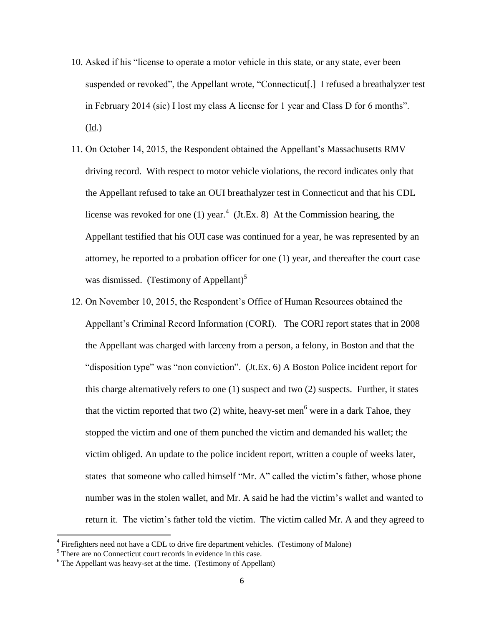- 10. Asked if his "license to operate a motor vehicle in this state, or any state, ever been suspended or revoked", the Appellant wrote, "Connecticut[.] I refused a breathalyzer test in February 2014 (sic) I lost my class A license for 1 year and Class D for 6 months". (Id.)
- 11. On October 14, 2015, the Respondent obtained the Appellant's Massachusetts RMV driving record. With respect to motor vehicle violations, the record indicates only that the Appellant refused to take an OUI breathalyzer test in Connecticut and that his CDL license was revoked for one (1) year.<sup>4</sup> (Jt.Ex. 8) At the Commission hearing, the Appellant testified that his OUI case was continued for a year, he was represented by an attorney, he reported to a probation officer for one (1) year, and thereafter the court case was dismissed. (Testimony of Appellant) $5$
- 12. On November 10, 2015, the Respondent's Office of Human Resources obtained the Appellant's Criminal Record Information (CORI). The CORI report states that in 2008 the Appellant was charged with larceny from a person, a felony, in Boston and that the "disposition type" was "non conviction". (Jt.Ex. 6) A Boston Police incident report for this charge alternatively refers to one (1) suspect and two (2) suspects. Further, it states that the victim reported that two  $(2)$  white, heavy-set men<sup>6</sup> were in a dark Tahoe, they stopped the victim and one of them punched the victim and demanded his wallet; the victim obliged. An update to the police incident report, written a couple of weeks later, states that someone who called himself "Mr. A" called the victim's father, whose phone number was in the stolen wallet, and Mr. A said he had the victim's wallet and wanted to return it. The victim's father told the victim. The victim called Mr. A and they agreed to

 $\overline{\phantom{a}}$ 

<sup>&</sup>lt;sup>4</sup> Firefighters need not have a CDL to drive fire department vehicles. (Testimony of Malone)

<sup>&</sup>lt;sup>5</sup> There are no Connecticut court records in evidence in this case.

 $6$  The Appellant was heavy-set at the time. (Testimony of Appellant)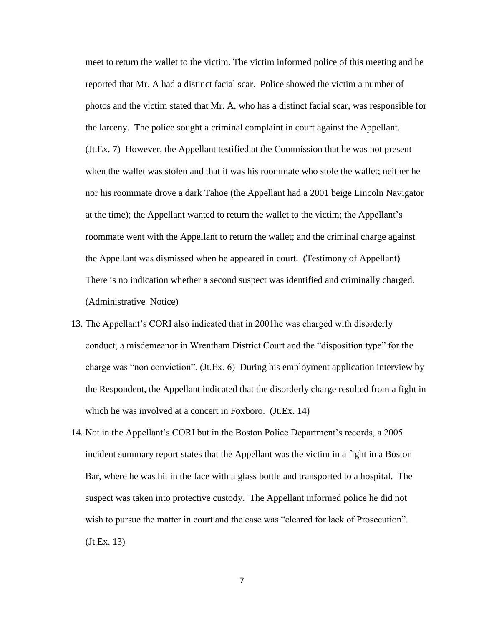meet to return the wallet to the victim. The victim informed police of this meeting and he reported that Mr. A had a distinct facial scar. Police showed the victim a number of photos and the victim stated that Mr. A, who has a distinct facial scar, was responsible for the larceny. The police sought a criminal complaint in court against the Appellant. (Jt.Ex. 7) However, the Appellant testified at the Commission that he was not present when the wallet was stolen and that it was his roommate who stole the wallet; neither he nor his roommate drove a dark Tahoe (the Appellant had a 2001 beige Lincoln Navigator at the time); the Appellant wanted to return the wallet to the victim; the Appellant's roommate went with the Appellant to return the wallet; and the criminal charge against the Appellant was dismissed when he appeared in court. (Testimony of Appellant) There is no indication whether a second suspect was identified and criminally charged. (Administrative Notice)

- 13. The Appellant's CORI also indicated that in 2001he was charged with disorderly conduct, a misdemeanor in Wrentham District Court and the "disposition type" for the charge was "non conviction". (Jt.Ex. 6) During his employment application interview by the Respondent, the Appellant indicated that the disorderly charge resulted from a fight in which he was involved at a concert in Foxboro. (Jt.Ex. 14)
- 14. Not in the Appellant's CORI but in the Boston Police Department's records, a 2005 incident summary report states that the Appellant was the victim in a fight in a Boston Bar, where he was hit in the face with a glass bottle and transported to a hospital. The suspect was taken into protective custody. The Appellant informed police he did not wish to pursue the matter in court and the case was "cleared for lack of Prosecution". (Jt.Ex. 13)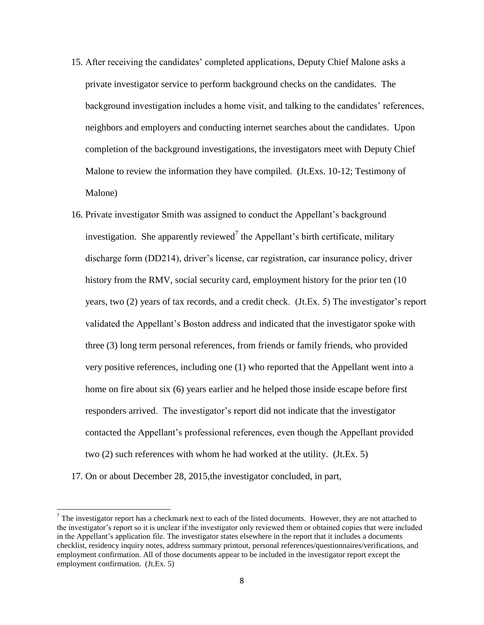- 15. After receiving the candidates' completed applications, Deputy Chief Malone asks a private investigator service to perform background checks on the candidates. The background investigation includes a home visit, and talking to the candidates' references, neighbors and employers and conducting internet searches about the candidates. Upon completion of the background investigations, the investigators meet with Deputy Chief Malone to review the information they have compiled. (Jt.Exs. 10-12; Testimony of Malone)
- 16. Private investigator Smith was assigned to conduct the Appellant's background investigation. She apparently reviewed<sup>7</sup> the Appellant's birth certificate, military discharge form (DD214), driver's license, car registration, car insurance policy, driver history from the RMV, social security card, employment history for the prior ten (10 years, two (2) years of tax records, and a credit check. (Jt.Ex. 5) The investigator's report validated the Appellant's Boston address and indicated that the investigator spoke with three (3) long term personal references, from friends or family friends, who provided very positive references, including one (1) who reported that the Appellant went into a home on fire about six (6) years earlier and he helped those inside escape before first responders arrived. The investigator's report did not indicate that the investigator contacted the Appellant's professional references, even though the Appellant provided two (2) such references with whom he had worked at the utility. (Jt.Ex. 5)
- 17. On or about December 28, 2015,the investigator concluded, in part,

l

 $<sup>7</sup>$  The investigator report has a checkmark next to each of the listed documents. However, they are not attached to</sup> the investigator's report so it is unclear if the investigator only reviewed them or obtained copies that were included in the Appellant's application file. The investigator states elsewhere in the report that it includes a documents checklist, residency inquiry notes, address summary printout, personal references/questionnaires/verifications, and employment confirmation. All of those documents appear to be included in the investigator report except the employment confirmation. (Jt.Ex. 5)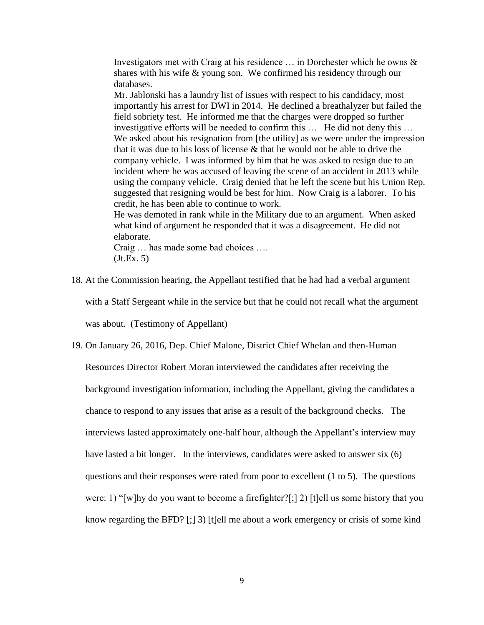Investigators met with Craig at his residence … in Dorchester which he owns & shares with his wife & young son. We confirmed his residency through our databases.

Mr. Jablonski has a laundry list of issues with respect to his candidacy, most importantly his arrest for DWI in 2014. He declined a breathalyzer but failed the field sobriety test. He informed me that the charges were dropped so further investigative efforts will be needed to confirm this … He did not deny this … We asked about his resignation from [the utility] as we were under the impression that it was due to his loss of license & that he would not be able to drive the company vehicle. I was informed by him that he was asked to resign due to an incident where he was accused of leaving the scene of an accident in 2013 while using the company vehicle. Craig denied that he left the scene but his Union Rep. suggested that resigning would be best for him. Now Craig is a laborer. To his credit, he has been able to continue to work.

He was demoted in rank while in the Military due to an argument. When asked what kind of argument he responded that it was a disagreement. He did not elaborate.

Craig … has made some bad choices ….  $(Jt.Ex. 5)$ 

- 18. At the Commission hearing, the Appellant testified that he had had a verbal argument with a Staff Sergeant while in the service but that he could not recall what the argument was about. (Testimony of Appellant)
- 19. On January 26, 2016, Dep. Chief Malone, District Chief Whelan and then-Human

Resources Director Robert Moran interviewed the candidates after receiving the background investigation information, including the Appellant, giving the candidates a chance to respond to any issues that arise as a result of the background checks. The interviews lasted approximately one-half hour, although the Appellant's interview may have lasted a bit longer. In the interviews, candidates were asked to answer six (6) questions and their responses were rated from poor to excellent (1 to 5). The questions were: 1) "[w]hy do you want to become a firefighter?[;] 2) [t]ell us some history that you know regarding the BFD? [;] 3) [t]ell me about a work emergency or crisis of some kind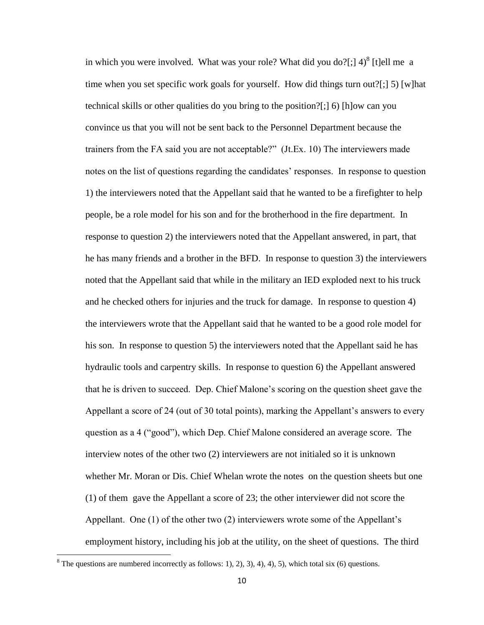in which you were involved. What was your role? What did you do?[;]  $4)^8$  [t]ell me a time when you set specific work goals for yourself. How did things turn out?[;] 5) [w]hat technical skills or other qualities do you bring to the position?[;] 6) [h]ow can you convince us that you will not be sent back to the Personnel Department because the trainers from the FA said you are not acceptable?" (Jt.Ex. 10) The interviewers made notes on the list of questions regarding the candidates' responses. In response to question 1) the interviewers noted that the Appellant said that he wanted to be a firefighter to help people, be a role model for his son and for the brotherhood in the fire department. In response to question 2) the interviewers noted that the Appellant answered, in part, that he has many friends and a brother in the BFD. In response to question 3) the interviewers noted that the Appellant said that while in the military an IED exploded next to his truck and he checked others for injuries and the truck for damage. In response to question 4) the interviewers wrote that the Appellant said that he wanted to be a good role model for his son. In response to question 5) the interviewers noted that the Appellant said he has hydraulic tools and carpentry skills. In response to question 6) the Appellant answered that he is driven to succeed. Dep. Chief Malone's scoring on the question sheet gave the Appellant a score of 24 (out of 30 total points), marking the Appellant's answers to every question as a 4 ("good"), which Dep. Chief Malone considered an average score. The interview notes of the other two (2) interviewers are not initialed so it is unknown whether Mr. Moran or Dis. Chief Whelan wrote the notes on the question sheets but one (1) of them gave the Appellant a score of 23; the other interviewer did not score the Appellant. One (1) of the other two (2) interviewers wrote some of the Appellant's employment history, including his job at the utility, on the sheet of questions. The third

 $\overline{\phantom{a}}$ 

 $8$  The questions are numbered incorrectly as follows: 1), 2), 3), 4), 4), 5), which total six (6) questions.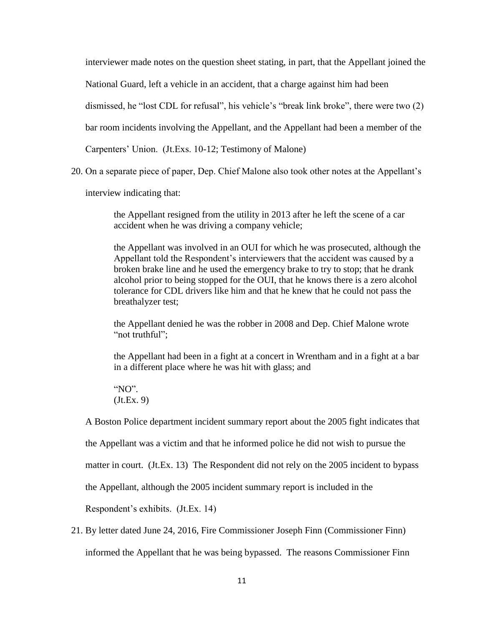interviewer made notes on the question sheet stating, in part, that the Appellant joined the

National Guard, left a vehicle in an accident, that a charge against him had been

dismissed, he "lost CDL for refusal", his vehicle's "break link broke", there were two (2)

bar room incidents involving the Appellant, and the Appellant had been a member of the

Carpenters' Union. (Jt.Exs. 10-12; Testimony of Malone)

20. On a separate piece of paper, Dep. Chief Malone also took other notes at the Appellant's

interview indicating that:

the Appellant resigned from the utility in 2013 after he left the scene of a car accident when he was driving a company vehicle;

the Appellant was involved in an OUI for which he was prosecuted, although the Appellant told the Respondent's interviewers that the accident was caused by a broken brake line and he used the emergency brake to try to stop; that he drank alcohol prior to being stopped for the OUI, that he knows there is a zero alcohol tolerance for CDL drivers like him and that he knew that he could not pass the breathalyzer test;

the Appellant denied he was the robber in 2008 and Dep. Chief Malone wrote "not truthful";

the Appellant had been in a fight at a concert in Wrentham and in a fight at a bar in a different place where he was hit with glass; and

"NO". (Jt.Ex. 9)

A Boston Police department incident summary report about the 2005 fight indicates that

the Appellant was a victim and that he informed police he did not wish to pursue the

matter in court. (Jt.Ex. 13) The Respondent did not rely on the 2005 incident to bypass

the Appellant, although the 2005 incident summary report is included in the

Respondent's exhibits. (Jt.Ex. 14)

21. By letter dated June 24, 2016, Fire Commissioner Joseph Finn (Commissioner Finn) informed the Appellant that he was being bypassed. The reasons Commissioner Finn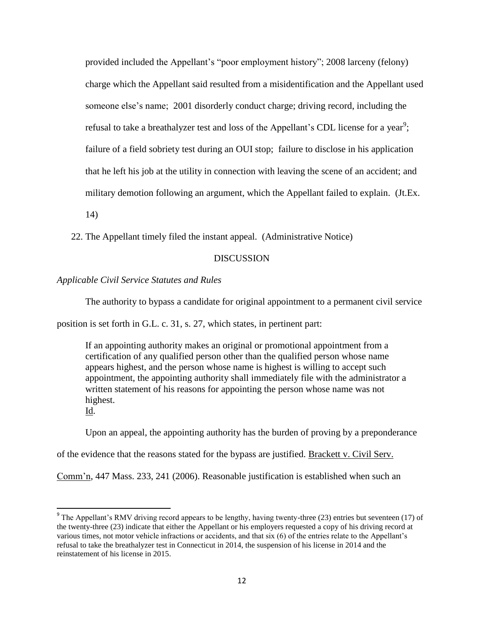provided included the Appellant's "poor employment history"; 2008 larceny (felony) charge which the Appellant said resulted from a misidentification and the Appellant used someone else's name; 2001 disorderly conduct charge; driving record, including the refusal to take a breathalyzer test and loss of the Appellant's CDL license for a year<sup>9</sup>; failure of a field sobriety test during an OUI stop; failure to disclose in his application that he left his job at the utility in connection with leaving the scene of an accident; and military demotion following an argument, which the Appellant failed to explain. (Jt.Ex.

14)

22. The Appellant timely filed the instant appeal. (Administrative Notice)

# DISCUSSION

*Applicable Civil Service Statutes and Rules*

The authority to bypass a candidate for original appointment to a permanent civil service

position is set forth in G.L. c. 31, s. 27, which states, in pertinent part:

If an appointing authority makes an original or promotional appointment from a certification of any qualified person other than the qualified person whose name appears highest, and the person whose name is highest is willing to accept such appointment, the appointing authority shall immediately file with the administrator a written statement of his reasons for appointing the person whose name was not highest.

Id.

 $\overline{\phantom{a}}$ 

Upon an appeal, the appointing authority has the burden of proving by a preponderance

of the evidence that the reasons stated for the bypass are justified. Brackett v. Civil Serv.

Comm'n, 447 Mass. 233, 241 (2006). Reasonable justification is established when such an

<sup>&</sup>lt;sup>9</sup> The Appellant's RMV driving record appears to be lengthy, having twenty-three (23) entries but seventeen (17) of the twenty-three (23) indicate that either the Appellant or his employers requested a copy of his driving record at various times, not motor vehicle infractions or accidents, and that six (6) of the entries relate to the Appellant's refusal to take the breathalyzer test in Connecticut in 2014, the suspension of his license in 2014 and the reinstatement of his license in 2015.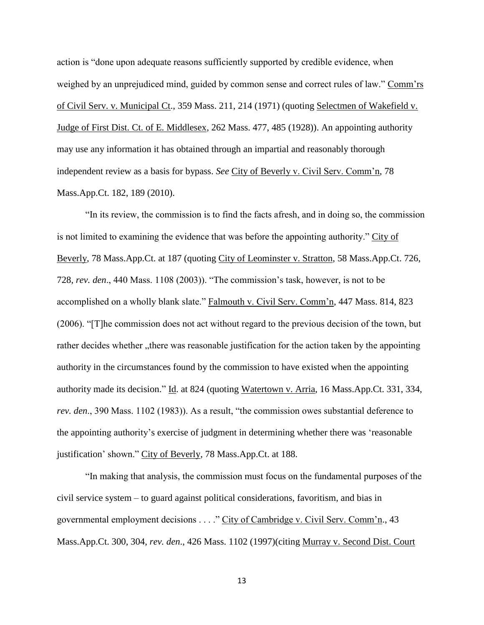action is "done upon adequate reasons sufficiently supported by credible evidence, when weighed by an unprejudiced mind, guided by common sense and correct rules of law." Comm'rs of Civil Serv. v. Municipal Ct., 359 Mass. 211, 214 (1971) (quoting Selectmen of Wakefield v. Judge of First Dist. Ct. of E. Middlesex, 262 Mass. 477, 485 (1928)). An appointing authority may use any information it has obtained through an impartial and reasonably thorough independent review as a basis for bypass. *See* City of Beverly v. Civil Serv. Comm'n, 78 Mass.App.Ct. 182, 189 (2010).

"In its review, the commission is to find the facts afresh, and in doing so, the commission is not limited to examining the evidence that was before the appointing authority." City of Beverly, 78 Mass.App.Ct. at 187 (quoting City of Leominster v. Stratton, 58 Mass.App.Ct. 726, 728, *rev. den*., 440 Mass. 1108 (2003)). "The commission's task, however, is not to be accomplished on a wholly blank slate." Falmouth v. Civil Serv. Comm'n, 447 Mass. 814, 823 (2006). "[T]he commission does not act without regard to the previous decision of the town, but rather decides whether "there was reasonable justification for the action taken by the appointing authority in the circumstances found by the commission to have existed when the appointing authority made its decision." Id. at 824 (quoting Watertown v. Arria, 16 Mass.App.Ct. 331, 334, *rev. den*., 390 Mass. 1102 (1983)). As a result, "the commission owes substantial deference to the appointing authority's exercise of judgment in determining whether there was 'reasonable justification' shown." City of Beverly, 78 Mass.App.Ct. at 188.

"In making that analysis, the commission must focus on the fundamental purposes of the civil service system – to guard against political considerations, favoritism, and bias in governmental employment decisions . . . ." City of Cambridge v. Civil Serv. Comm'n., 43 Mass.App.Ct. 300, 304, *rev. den*., 426 Mass. 1102 (1997)(citing Murray v. Second Dist. Court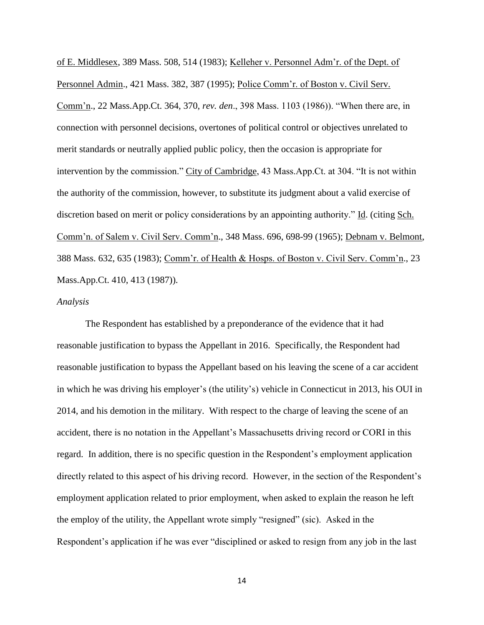of E. Middlesex, 389 Mass. 508, 514 (1983); Kelleher v. Personnel Adm'r. of the Dept. of Personnel Admin., 421 Mass. 382, 387 (1995); Police Comm'r. of Boston v. Civil Serv. Comm'n., 22 Mass.App.Ct. 364, 370, *rev. den*., 398 Mass. 1103 (1986)). "When there are, in connection with personnel decisions, overtones of political control or objectives unrelated to merit standards or neutrally applied public policy, then the occasion is appropriate for intervention by the commission." City of Cambridge, 43 Mass.App.Ct. at 304. "It is not within the authority of the commission, however, to substitute its judgment about a valid exercise of discretion based on merit or policy considerations by an appointing authority." Id. (citing Sch. Comm'n. of Salem v. Civil Serv. Comm'n., 348 Mass. 696, 698-99 (1965); Debnam v. Belmont, 388 Mass. 632, 635 (1983); Comm'r. of Health & Hosps. of Boston v. Civil Serv. Comm'n., 23 Mass.App.Ct. 410, 413 (1987)).

### *Analysis*

The Respondent has established by a preponderance of the evidence that it had reasonable justification to bypass the Appellant in 2016. Specifically, the Respondent had reasonable justification to bypass the Appellant based on his leaving the scene of a car accident in which he was driving his employer's (the utility's) vehicle in Connecticut in 2013, his OUI in 2014, and his demotion in the military. With respect to the charge of leaving the scene of an accident, there is no notation in the Appellant's Massachusetts driving record or CORI in this regard. In addition, there is no specific question in the Respondent's employment application directly related to this aspect of his driving record. However, in the section of the Respondent's employment application related to prior employment, when asked to explain the reason he left the employ of the utility, the Appellant wrote simply "resigned" (sic). Asked in the Respondent's application if he was ever "disciplined or asked to resign from any job in the last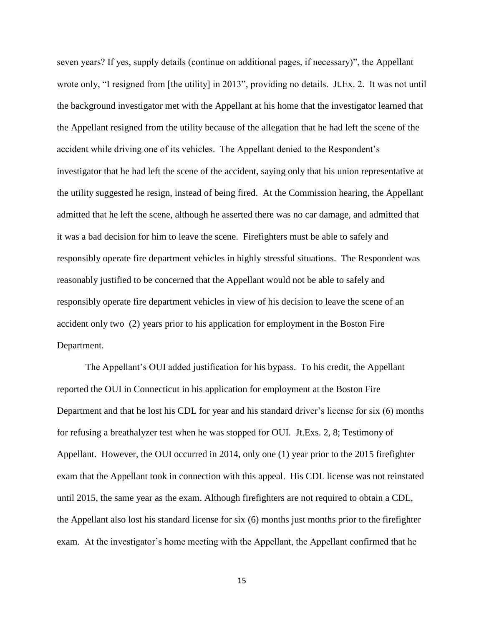seven years? If yes, supply details (continue on additional pages, if necessary)", the Appellant wrote only, "I resigned from [the utility] in 2013", providing no details. Jt.Ex. 2. It was not until the background investigator met with the Appellant at his home that the investigator learned that the Appellant resigned from the utility because of the allegation that he had left the scene of the accident while driving one of its vehicles. The Appellant denied to the Respondent's investigator that he had left the scene of the accident, saying only that his union representative at the utility suggested he resign, instead of being fired. At the Commission hearing, the Appellant admitted that he left the scene, although he asserted there was no car damage, and admitted that it was a bad decision for him to leave the scene. Firefighters must be able to safely and responsibly operate fire department vehicles in highly stressful situations. The Respondent was reasonably justified to be concerned that the Appellant would not be able to safely and responsibly operate fire department vehicles in view of his decision to leave the scene of an accident only two (2) years prior to his application for employment in the Boston Fire Department.

The Appellant's OUI added justification for his bypass. To his credit, the Appellant reported the OUI in Connecticut in his application for employment at the Boston Fire Department and that he lost his CDL for year and his standard driver's license for six (6) months for refusing a breathalyzer test when he was stopped for OUI. Jt.Exs. 2, 8; Testimony of Appellant. However, the OUI occurred in 2014, only one (1) year prior to the 2015 firefighter exam that the Appellant took in connection with this appeal. His CDL license was not reinstated until 2015, the same year as the exam. Although firefighters are not required to obtain a CDL, the Appellant also lost his standard license for six (6) months just months prior to the firefighter exam. At the investigator's home meeting with the Appellant, the Appellant confirmed that he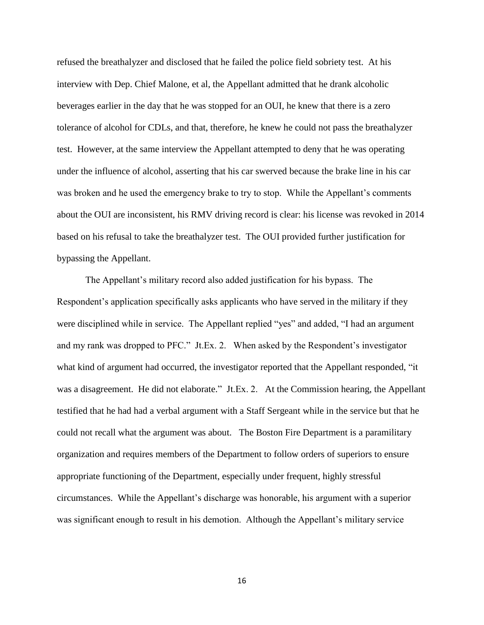refused the breathalyzer and disclosed that he failed the police field sobriety test. At his interview with Dep. Chief Malone, et al, the Appellant admitted that he drank alcoholic beverages earlier in the day that he was stopped for an OUI, he knew that there is a zero tolerance of alcohol for CDLs, and that, therefore, he knew he could not pass the breathalyzer test. However, at the same interview the Appellant attempted to deny that he was operating under the influence of alcohol, asserting that his car swerved because the brake line in his car was broken and he used the emergency brake to try to stop. While the Appellant's comments about the OUI are inconsistent, his RMV driving record is clear: his license was revoked in 2014 based on his refusal to take the breathalyzer test. The OUI provided further justification for bypassing the Appellant.

The Appellant's military record also added justification for his bypass. The Respondent's application specifically asks applicants who have served in the military if they were disciplined while in service. The Appellant replied "yes" and added, "I had an argument and my rank was dropped to PFC." Jt.Ex. 2. When asked by the Respondent's investigator what kind of argument had occurred, the investigator reported that the Appellant responded, "it was a disagreement. He did not elaborate." Jt.Ex. 2. At the Commission hearing, the Appellant testified that he had had a verbal argument with a Staff Sergeant while in the service but that he could not recall what the argument was about. The Boston Fire Department is a paramilitary organization and requires members of the Department to follow orders of superiors to ensure appropriate functioning of the Department, especially under frequent, highly stressful circumstances. While the Appellant's discharge was honorable, his argument with a superior was significant enough to result in his demotion. Although the Appellant's military service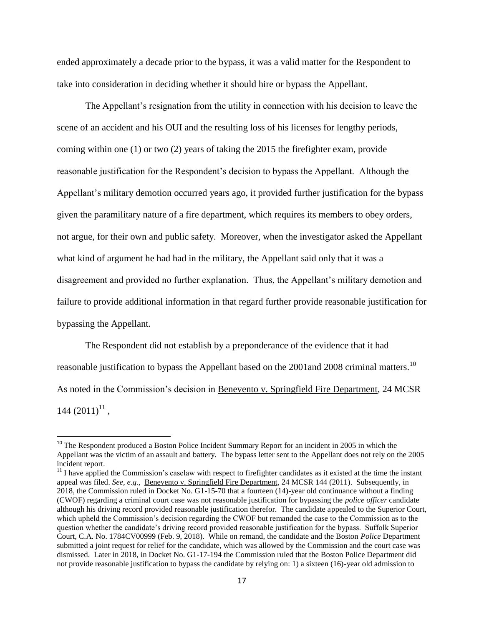ended approximately a decade prior to the bypass, it was a valid matter for the Respondent to take into consideration in deciding whether it should hire or bypass the Appellant.

The Appellant's resignation from the utility in connection with his decision to leave the scene of an accident and his OUI and the resulting loss of his licenses for lengthy periods, coming within one (1) or two (2) years of taking the 2015 the firefighter exam, provide reasonable justification for the Respondent's decision to bypass the Appellant. Although the Appellant's military demotion occurred years ago, it provided further justification for the bypass given the paramilitary nature of a fire department, which requires its members to obey orders, not argue, for their own and public safety. Moreover, when the investigator asked the Appellant what kind of argument he had had in the military, the Appellant said only that it was a disagreement and provided no further explanation. Thus, the Appellant's military demotion and failure to provide additional information in that regard further provide reasonable justification for bypassing the Appellant.

The Respondent did not establish by a preponderance of the evidence that it had reasonable justification to bypass the Appellant based on the 2001and 2008 criminal matters.<sup>10</sup> As noted in the Commission's decision in Benevento v. Springfield Fire Department, 24 MCSR  $144 (2011)^{11}$ ,

 $\overline{a}$ 

<sup>&</sup>lt;sup>10</sup> The Respondent produced a Boston Police Incident Summary Report for an incident in 2005 in which the Appellant was the victim of an assault and battery. The bypass letter sent to the Appellant does not rely on the 2005 incident report.

 $11$  I have applied the Commission's caselaw with respect to firefighter candidates as it existed at the time the instant appeal was filed. *See, e.g.,* Benevento v. Springfield Fire Department, 24 MCSR 144 (2011). Subsequently, in 2018, the Commission ruled in Docket No. G1-15-70 that a fourteen (14)-year old continuance without a finding (CWOF) regarding a criminal court case was not reasonable justification for bypassing the *police officer* candidate although his driving record provided reasonable justification therefor. The candidate appealed to the Superior Court, which upheld the Commission's decision regarding the CWOF but remanded the case to the Commission as to the question whether the candidate's driving record provided reasonable justification for the bypass. Suffolk Superior Court, C.A. No. 1784CV00999 (Feb. 9, 2018). While on remand, the candidate and the Boston *Police* Department submitted a joint request for relief for the candidate, which was allowed by the Commission and the court case was dismissed. Later in 2018, in Docket No. G1-17-194 the Commission ruled that the Boston Police Department did not provide reasonable justification to bypass the candidate by relying on: 1) a sixteen (16)-year old admission to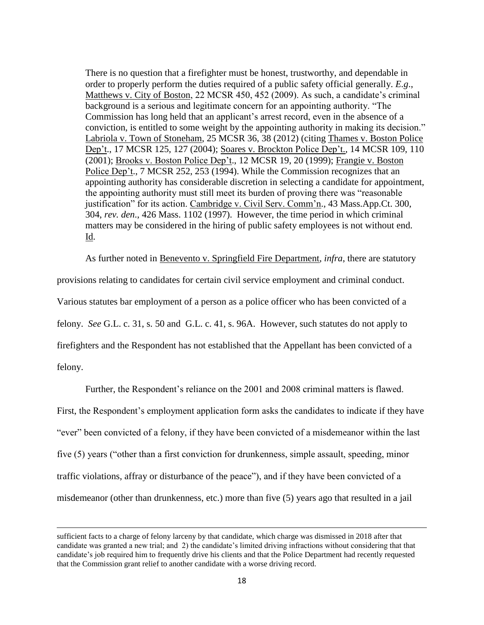There is no question that a firefighter must be honest, trustworthy, and dependable in order to properly perform the duties required of a public safety official generally. *E.g*., Matthews v. City of Boston, 22 MCSR 450, 452 (2009). As such, a candidate's criminal background is a serious and legitimate concern for an appointing authority. "The Commission has long held that an applicant's arrest record, even in the absence of a conviction, is entitled to some weight by the appointing authority in making its decision." Labriola v. Town of Stoneham, 25 MCSR 36, 38 (2012) (citing Thames v. Boston Police Dep't., 17 MCSR 125, 127 (2004); Soares v. Brockton Police Dep't., 14 MCSR 109, 110 (2001); Brooks v. Boston Police Dep't., 12 MCSR 19, 20 (1999); Frangie v. Boston Police Dep't., 7 MCSR 252, 253 (1994). While the Commission recognizes that an appointing authority has considerable discretion in selecting a candidate for appointment, the appointing authority must still meet its burden of proving there was "reasonable justification" for its action. Cambridge v. Civil Serv. Comm'n., 43 Mass.App.Ct. 300, 304, *rev. den*., 426 Mass. 1102 (1997). However, the time period in which criminal matters may be considered in the hiring of public safety employees is not without end. Id.

As further noted in Benevento v. Springfield Fire Department, *infra*, there are statutory

provisions relating to candidates for certain civil service employment and criminal conduct.

Various statutes bar employment of a person as a police officer who has been convicted of a

felony. *See* G.L. c. 31, s. 50 and G.L. c. 41, s. 96A. However, such statutes do not apply to

firefighters and the Respondent has not established that the Appellant has been convicted of a

felony.

 $\overline{\phantom{a}}$ 

Further, the Respondent's reliance on the 2001 and 2008 criminal matters is flawed.

First, the Respondent's employment application form asks the candidates to indicate if they have "ever" been convicted of a felony, if they have been convicted of a misdemeanor within the last five (5) years ("other than a first conviction for drunkenness, simple assault, speeding, minor traffic violations, affray or disturbance of the peace"), and if they have been convicted of a misdemeanor (other than drunkenness, etc.) more than five (5) years ago that resulted in a jail

sufficient facts to a charge of felony larceny by that candidate, which charge was dismissed in 2018 after that candidate was granted a new trial; and 2) the candidate's limited driving infractions without considering that that candidate's job required him to frequently drive his clients and that the Police Department had recently requested that the Commission grant relief to another candidate with a worse driving record.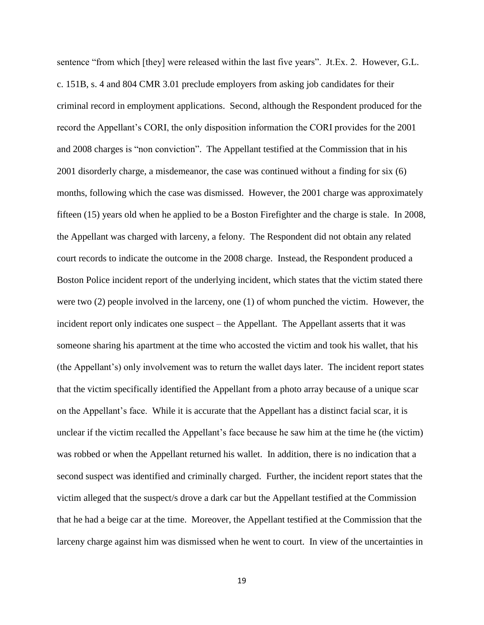sentence "from which [they] were released within the last five years". Jt.Ex. 2. However, G.L. c. 151B, s. 4 and 804 CMR 3.01 preclude employers from asking job candidates for their criminal record in employment applications. Second, although the Respondent produced for the record the Appellant's CORI, the only disposition information the CORI provides for the 2001 and 2008 charges is "non conviction". The Appellant testified at the Commission that in his 2001 disorderly charge, a misdemeanor, the case was continued without a finding for six (6) months, following which the case was dismissed. However, the 2001 charge was approximately fifteen (15) years old when he applied to be a Boston Firefighter and the charge is stale. In 2008, the Appellant was charged with larceny, a felony. The Respondent did not obtain any related court records to indicate the outcome in the 2008 charge. Instead, the Respondent produced a Boston Police incident report of the underlying incident, which states that the victim stated there were two (2) people involved in the larceny, one (1) of whom punched the victim. However, the incident report only indicates one suspect – the Appellant. The Appellant asserts that it was someone sharing his apartment at the time who accosted the victim and took his wallet, that his (the Appellant's) only involvement was to return the wallet days later. The incident report states that the victim specifically identified the Appellant from a photo array because of a unique scar on the Appellant's face. While it is accurate that the Appellant has a distinct facial scar, it is unclear if the victim recalled the Appellant's face because he saw him at the time he (the victim) was robbed or when the Appellant returned his wallet. In addition, there is no indication that a second suspect was identified and criminally charged. Further, the incident report states that the victim alleged that the suspect/s drove a dark car but the Appellant testified at the Commission that he had a beige car at the time. Moreover, the Appellant testified at the Commission that the larceny charge against him was dismissed when he went to court. In view of the uncertainties in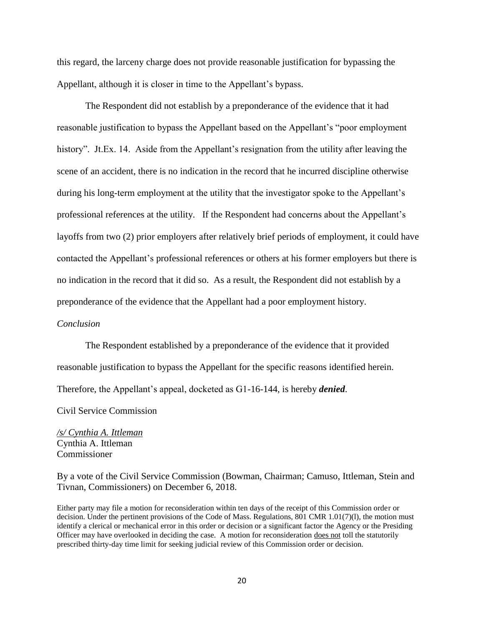this regard, the larceny charge does not provide reasonable justification for bypassing the Appellant, although it is closer in time to the Appellant's bypass.

The Respondent did not establish by a preponderance of the evidence that it had reasonable justification to bypass the Appellant based on the Appellant's "poor employment history". Jt.Ex. 14. Aside from the Appellant's resignation from the utility after leaving the scene of an accident, there is no indication in the record that he incurred discipline otherwise during his long-term employment at the utility that the investigator spoke to the Appellant's professional references at the utility. If the Respondent had concerns about the Appellant's layoffs from two (2) prior employers after relatively brief periods of employment, it could have contacted the Appellant's professional references or others at his former employers but there is no indication in the record that it did so. As a result, the Respondent did not establish by a preponderance of the evidence that the Appellant had a poor employment history.

## *Conclusion*

The Respondent established by a preponderance of the evidence that it provided reasonable justification to bypass the Appellant for the specific reasons identified herein. Therefore, the Appellant's appeal, docketed as G1-16-144, is hereby *denied*.

Civil Service Commission

*/s/ Cynthia A. Ittleman* Cynthia A. Ittleman Commissioner

By a vote of the Civil Service Commission (Bowman, Chairman; Camuso, Ittleman, Stein and Tivnan, Commissioners) on December 6, 2018.

Either party may file a motion for reconsideration within ten days of the receipt of this Commission order or decision. Under the pertinent provisions of the Code of Mass. Regulations, 801 CMR 1.01(7)(1), the motion must identify a clerical or mechanical error in this order or decision or a significant factor the Agency or the Presiding Officer may have overlooked in deciding the case. A motion for reconsideration does not toll the statutorily prescribed thirty-day time limit for seeking judicial review of this Commission order or decision.